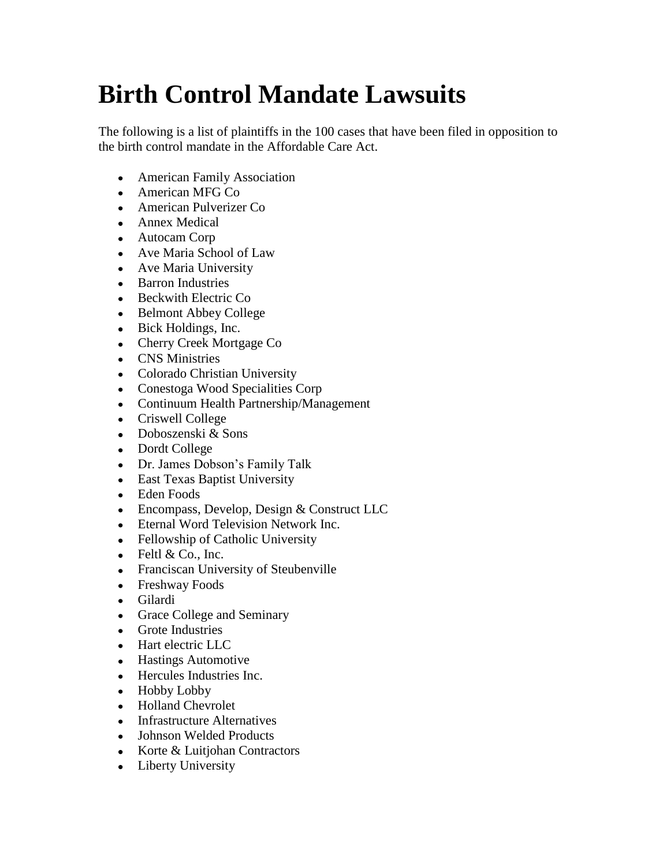## **Birth Control Mandate Lawsuits**

The following is a list of plaintiffs in the 100 cases that have been filed in opposition to the birth control mandate in the Affordable Care Act.

- American Family Association
- American MFG Co
- American Pulverizer Co
- Annex Medical
- Autocam Corp
- Ave Maria School of Law
- Ave Maria University
- Barron Industries
- Beckwith Electric Co
- Belmont Abbey College
- Bick Holdings, Inc.
- Cherry Creek Mortgage Co
- CNS Ministries
- Colorado Christian University
- Conestoga Wood Specialities Corp
- Continuum Health Partnership/Management
- Criswell College
- Doboszenski & Sons
- Dordt College
- Dr. James Dobson's Family Talk
- East Texas Baptist University
- Eden Foods
- Encompass, Develop, Design & Construct LLC
- Eternal Word Television Network Inc.
- Fellowship of Catholic University
- $\bullet$  Feltl & Co., Inc.
- Franciscan University of Steubenville
- Freshway Foods
- Gilardi
- Grace College and Seminary
- Grote Industries
- Hart electric LLC
- Hastings Automotive
- Hercules Industries Inc.
- Hobby Lobby
- Holland Chevrolet
- Infrastructure Alternatives
- Johnson Welded Products
- Korte  $&$  Luitjohan Contractors
- Liberty University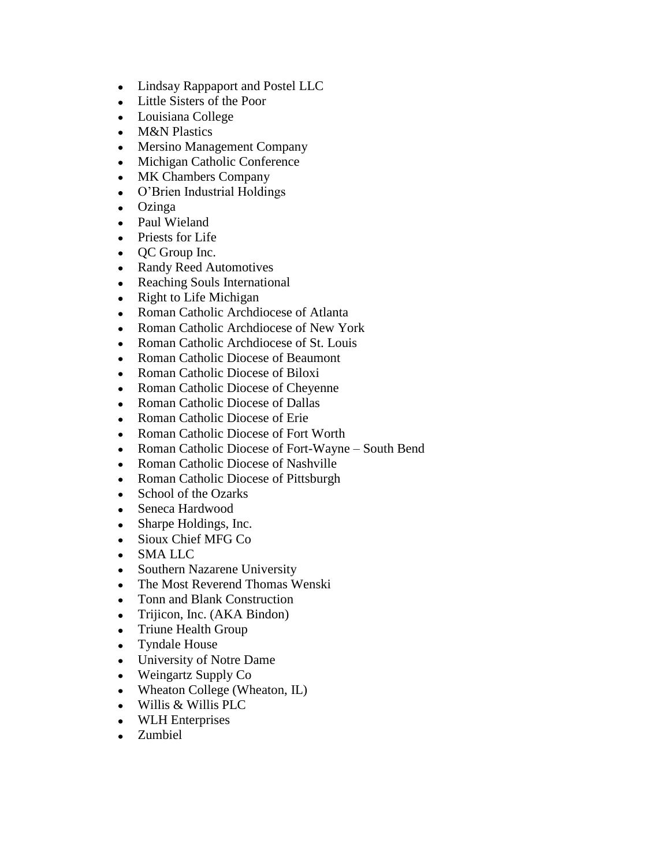- Lindsay Rappaport and Postel LLC  $\bullet$
- Little Sisters of the Poor
- Louisiana College
- M&N Plastics
- Mersino Management Company
- Michigan Catholic Conference
- MK Chambers Company
- O'Brien Industrial Holdings
- Ozinga
- Paul Wieland
- Priests for Life  $\bullet$
- **QC Group Inc.**
- Randy Reed Automotives
- Reaching Souls International
- Right to Life Michigan
- Roman Catholic Archdiocese of Atlanta
- Roman Catholic Archdiocese of New York  $\bullet$
- Roman Catholic Archdiocese of St. Louis  $\bullet$
- Roman Catholic Diocese of Beaumont  $\bullet$
- Roman Catholic Diocese of Biloxi
- Roman Catholic Diocese of Cheyenne
- Roman Catholic Diocese of Dallas
- Roman Catholic Diocese of Erie
- Roman Catholic Diocese of Fort Worth  $\bullet$
- Roman Catholic Diocese of Fort-Wayne South Bend
- Roman Catholic Diocese of Nashville  $\bullet$
- Roman Catholic Diocese of Pittsburgh  $\bullet$
- School of the Ozarks
- Seneca Hardwood
- Sharpe Holdings, Inc.
- Sioux Chief MFG Co
- SMA LLC
- Southern Nazarene University
- The Most Reverend Thomas Wenski  $\bullet$
- $\bullet$ Tonn and Blank Construction
- Trijicon, Inc. (AKA Bindon)  $\bullet$
- Triune Health Group  $\bullet$
- Tyndale House
- University of Notre Dame
- Weingartz Supply Co
- Wheaton College (Wheaton, IL)
- Willis & Willis PLC
- WLH Enterprises
- Zumbiel